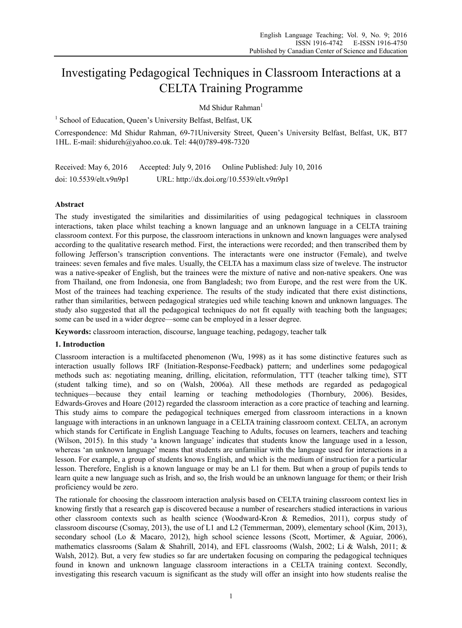# Investigating Pedagogical Techniques in Classroom Interactions at a CELTA Training Programme

Md Shidur Rahman<sup>1</sup>

<sup>1</sup> School of Education, Queen's University Belfast, Belfast, UK

Correspondence: Md Shidur Rahman, 69-71University Street, Queen's University Belfast, Belfast, UK, BT7 1HL. E-mail: shidureh@yahoo.co.uk. Tel: 44(0)789-498-7320

Received: May 6, 2016 Accepted: July 9, 2016 Online Published: July 10, 2016 doi: 10.5539/elt.v9n9p1 URL: http://dx.doi.org/10.5539/elt.v9n9p1

## **Abstract**

The study investigated the similarities and dissimilarities of using pedagogical techniques in classroom interactions, taken place whilst teaching a known language and an unknown language in a CELTA training classroom context. For this purpose, the classroom interactions in unknown and known languages were analysed according to the qualitative research method. First, the interactions were recorded; and then transcribed them by following Jefferson's transcription conventions. The interactants were one instructor (Female), and twelve trainees: seven females and five males. Usually, the CELTA has a maximum class size of tweleve. The instructor was a native-speaker of English, but the trainees were the mixture of native and non-native speakers. One was from Thailand, one from Indonesia, one from Bangladesh; two from Europe, and the rest were from the UK. Most of the trainees had teaching experience. The results of the study indicated that there exist distinctions, rather than similarities, between pedagogical strategies ued while teaching known and unknown languages. The study also suggested that all the pedagogical techniques do not fit equally with teaching both the languages; some can be used in a wider degree—some can be employed in a lesser degree.

**Keywords:** classroom interaction, discourse, language teaching, pedagogy, teacher talk

## **1. Introduction**

Classroom interaction is a multifaceted phenomenon (Wu, 1998) as it has some distinctive features such as interaction usually follows IRF (Initiation-Response-Feedback) pattern; and underlines some pedagogical methods such as: negotiating meaning, drilling, elicitation, reformulation, TTT (teacher talking time), STT (student talking time), and so on (Walsh, 2006a). All these methods are regarded as pedagogical techniques—because they entail learning or teaching methodologies (Thornbury, 2006). Besides, Edwards-Groves and Hoare (2012) regarded the classroom interaction as a core practice of teaching and learning. This study aims to compare the pedagogical techniques emerged from classroom interactions in a known language with interactions in an unknown language in a CELTA training classroom context. CELTA, an acronym which stands for Certificate in English Language Teaching to Adults, focuses on learners, teachers and teaching (Wilson, 2015). In this study 'a known language' indicates that students know the language used in a lesson, whereas 'an unknown language' means that students are unfamiliar with the language used for interactions in a lesson. For example, a group of students knows English, and which is the medium of instruction for a particular lesson. Therefore, English is a known language or may be an L1 for them. But when a group of pupils tends to learn quite a new language such as Irish, and so, the Irish would be an unknown language for them; or their Irish proficiency would be zero.

The rationale for choosing the classroom interaction analysis based on CELTA training classroom context lies in knowing firstly that a research gap is discovered because a number of researchers studied interactions in various other classroom contexts such as health science (Woodward-Kron & Remedios, 2011), corpus study of classroom discourse (Csomay, 2013), the use of L1 and L2 (Temmerman, 2009), elementary school (Kim, 2013), secondary school (Lo & Macaro, 2012), high school science lessons (Scott, Mortimer, & Aguiar, 2006), mathematics classrooms (Salam & Shahrill, 2014), and EFL classrooms (Walsh, 2002; Li & Walsh, 2011; & Walsh, 2012). But, a very few studies so far are undertaken focusing on comparing the pedagogical techniques found in known and unknown language classroom interactions in a CELTA training context. Secondly, investigating this research vacuum is significant as the study will offer an insight into how students realise the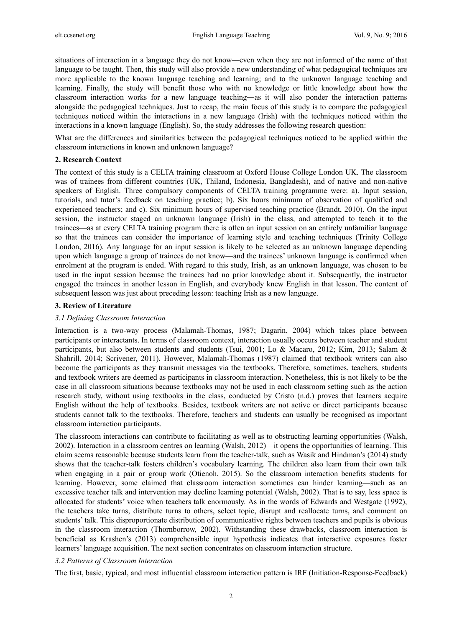situations of interaction in a language they do not know—even when they are not informed of the name of that language to be taught. Then, this study will also provide a new understanding of what pedagogical techniques are more applicable to the known language teaching and learning; and to the unknown language teaching and learning. Finally, the study will benefit those who with no knowledge or little knowledge about how the classroom interaction works for a new language teaching―as it will also ponder the interaction patterns alongside the pedagogical techniques. Just to recap, the main focus of this study is to compare the pedagogical techniques noticed within the interactions in a new language (Irish) with the techniques noticed within the interactions in a known language (English). So, the study addresses the following research question:

What are the differences and similarities between the pedagogical techniques noticed to be applied within the classroom interactions in known and unknown language?

## **2. Research Context**

The context of this study is a CELTA training classroom at Oxford House College London UK. The classroom was of trainees from different countries (UK, Thiland, Indonesia, Bangladesh), and of native and non-native speakers of English. Three compulsory components of CELTA training programme were: a). Input session, tutorials, and tutor's feedback on teaching practice; b). Six hours minimum of observation of qualified and experienced teachers; and c). Six minimum hours of supervised teaching practice (Brandt, 2010). On the input session, the instructor staged an unknown language (Irish) in the class, and attempted to teach it to the trainees—as at every CELTA training program there is often an input session on an entirely unfamiliar language so that the trainees can consider the importance of learning style and teaching techniques (Trinity College London, 2016). Any language for an input session is likely to be selected as an unknown language depending upon which language a group of trainees do not know—and the trainees' unknown language is confirmed when enrolment at the program is ended. With regard to this study, Irish, as an unknown language, was chosen to be used in the input session because the trainees had no prior knowledge about it. Subsequently, the instructor engaged the trainees in another lesson in English, and everybody knew English in that lesson. The content of subsequent lesson was just about preceding lesson: teaching Irish as a new language.

## **3. Review of Literature**

## *3.1 Defining Classroom Interaction*

Interaction is a two-way process (Malamah-Thomas, 1987; Dagarin, 2004) which takes place between participants or interactants. In terms of classroom context, interaction usually occurs between teacher and student participants, but also between students and students (Tsui, 2001; Lo & Macaro, 2012; Kim, 2013; Salam & Shahrill, 2014; Scrivener, 2011). However, Malamah-Thomas (1987) claimed that textbook writers can also become the participants as they transmit messages via the textbooks. Therefore, sometimes, teachers, students and textbook writers are deemed as participants in classroom interaction. Nonetheless, this is not likely to be the case in all classroom situations because textbooks may not be used in each classroom setting such as the action research study, without using textbooks in the class, conducted by Cristo (n.d.) proves that learners acquire English without the help of textbooks. Besides, textbook writers are not active or direct participants because students cannot talk to the textbooks. Therefore, teachers and students can usually be recognised as important classroom interaction participants.

The classroom interactions can contribute to facilitating as well as to obstructing learning opportunities (Walsh, 2002). Interaction in a classroom centres on learning (Walsh, 2012)—it opens the opportunities of learning. This claim seems reasonable because students learn from the teacher-talk, such as Wasik and Hindman's (2014) study shows that the teacher-talk fosters children's vocabulary learning. The children also learn from their own talk when engaging in a pair or group work (Otienoh, 2015). So the classroom interaction benefits students for learning. However, some claimed that classroom interaction sometimes can hinder learning—such as an excessive teacher talk and intervention may decline learning potential (Walsh, 2002). That is to say, less space is allocated for students' voice when teachers talk enormously. As in the words of Edwards and Westgate (1992), the teachers take turns, distribute turns to others, select topic, disrupt and reallocate turns, and comment on students' talk. This disproportionate distribution of communicative rights between teachers and pupils is obvious in the classroom interaction (Thornborrow, 2002). Withstanding these drawbacks, classroom interaction is beneficial as Krashen's (2013) comprehensible input hypothesis indicates that interactive exposures foster learners' language acquisition. The next section concentrates on classroom interaction structure.

#### *3.2 Patterns of Classroom Interaction*

The first, basic, typical, and most influential classroom interaction pattern is IRF (Initiation-Response-Feedback)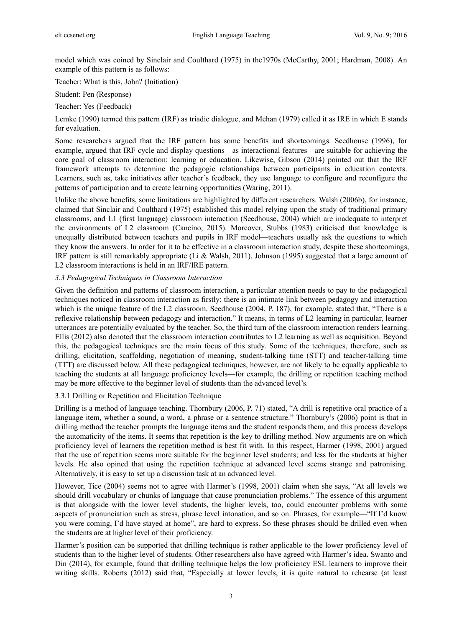model which was coined by Sinclair and Coulthard (1975) in the1970s (McCarthy, 2001; Hardman, 2008). An example of this pattern is as follows:

Teacher: What is this, John? (Initiation)

Student: Pen (Response)

Teacher: Yes (Feedback)

Lemke (1990) termed this pattern (IRF) as triadic dialogue, and Mehan (1979) called it as IRE in which E stands for evaluation.

Some researchers argued that the IRF pattern has some benefits and shortcomings. Seedhouse (1996), for example, argued that IRF cycle and display questions—as interactional features—are suitable for achieving the core goal of classroom interaction: learning or education. Likewise, Gibson (2014) pointed out that the IRF framework attempts to determine the pedagogic relationships between participants in education contexts. Learners, such as, take initiatives after teacher's feedback, they use language to configure and reconfigure the patterns of participation and to create learning opportunities (Waring, 2011).

Unlike the above benefits, some limitations are highlighted by different researchers. Walsh (2006b), for instance, claimed that Sinclair and Coulthard (1975) established this model relying upon the study of traditional primary classrooms, and L1 (first language) classroom interaction (Seedhouse, 2004) which are inadequate to interpret the environments of L2 classroom (Cancino, 2015). Moreover, Stubbs (1983) criticised that knowledge is unequally distributed between teachers and pupils in IRF model—teachers usually ask the questions to which they know the answers. In order for it to be effective in a classroom interaction study, despite these shortcomings, IRF pattern is still remarkably appropriate (Li & Walsh, 2011). Johnson (1995) suggested that a large amount of L2 classroom interactions is held in an IRF/IRE pattern.

## *3.3 Pedagogical Techniques in Classroom Interaction*

Given the definition and patterns of classroom interaction, a particular attention needs to pay to the pedagogical techniques noticed in classroom interaction as firstly; there is an intimate link between pedagogy and interaction which is the unique feature of the L2 classroom. Seedhouse (2004, P. 187), for example, stated that, "There is a reflexive relationship between pedagogy and interaction." It means, in terms of L2 learning in particular, learner utterances are potentially evaluated by the teacher. So, the third turn of the classroom interaction renders learning. Ellis (2012) also denoted that the classroom interaction contributes to L2 learning as well as acquisition. Beyond this, the pedagogical techniques are the main focus of this study. Some of the techniques, therefore, such as drilling, elicitation, scaffolding, negotiation of meaning, student-talking time (STT) and teacher-talking time (TTT) are discussed below. All these pedagogical techniques, however, are not likely to be equally applicable to teaching the students at all language proficiency levels—for example, the drilling or repetition teaching method may be more effective to the beginner level of students than the advanced level's.

## 3.3.1 Drilling or Repetition and Elicitation Technique

Drilling is a method of language teaching. Thornbury (2006, P. 71) stated, "A drill is repetitive oral practice of a language item, whether a sound, a word, a phrase or a sentence structure." Thornbury's (2006) point is that in drilling method the teacher prompts the language items and the student responds them, and this process develops the automaticity of the items. It seems that repetition is the key to drilling method. Now arguments are on which proficiency level of learners the repetition method is best fit with. In this respect, Harmer (1998, 2001) argued that the use of repetition seems more suitable for the beginner level students; and less for the students at higher levels. He also opined that using the repetition technique at advanced level seems strange and patronising. Alternatively, it is easy to set up a discussion task at an advanced level.

However, Tice (2004) seems not to agree with Harmer's (1998, 2001) claim when she says, "At all levels we should drill vocabulary or chunks of language that cause pronunciation problems." The essence of this argument is that alongside with the lower level students, the higher levels, too, could encounter problems with some aspects of pronunciation such as stress, phrase level intonation, and so on. Phrases, for example—"If I'd know you were coming, I'd have stayed at home", are hard to express. So these phrases should be drilled even when the students are at higher level of their proficiency.

Harmer's position can be supported that drilling technique is rather applicable to the lower proficiency level of students than to the higher level of students. Other researchers also have agreed with Harmer's idea. Swanto and Din (2014), for example, found that drilling technique helps the low proficiency ESL learners to improve their writing skills. Roberts (2012) said that, "Especially at lower levels, it is quite natural to rehearse (at least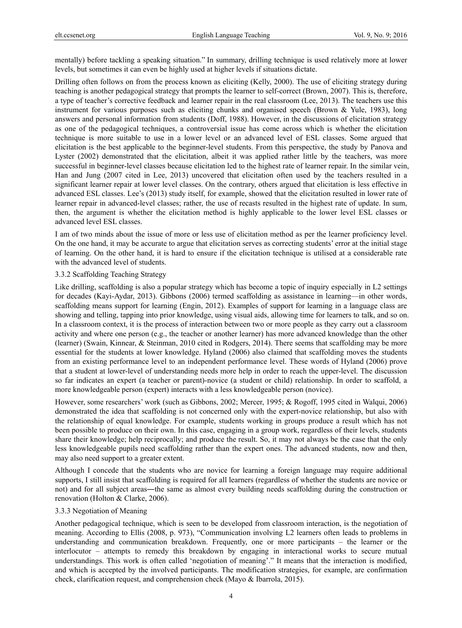mentally) before tackling a speaking situation." In summary, drilling technique is used relatively more at lower levels, but sometimes it can even be highly used at higher levels if situations dictate.

Drilling often follows on from the process known as eliciting (Kelly, 2000). The use of eliciting strategy during teaching is another pedagogical strategy that prompts the learner to self-correct (Brown, 2007). This is, therefore, a type of teacher's corrective feedback and learner repair in the real classroom (Lee, 2013). The teachers use this instrument for various purposes such as eliciting chunks and organised speech (Brown & Yule, 1983), long answers and personal information from students (Doff, 1988). However, in the discussions of elicitation strategy as one of the pedagogical techniques, a controversial issue has come across which is whether the elicitation technique is more suitable to use in a lower level or an advanced level of ESL classes. Some argued that elicitation is the best applicable to the beginner-level students. From this perspective, the study by Panova and Lyster (2002) demonstrated that the elicitation, albeit it was applied rather little by the teachers, was more successful in beginner-level classes because elicitation led to the highest rate of learner repair. In the similar vein, Han and Jung (2007 cited in Lee, 2013) uncovered that elicitation often used by the teachers resulted in a significant learner repair at lower level classes. On the contrary, others argued that elicitation is less effective in advanced ESL classes. Lee's (2013) study itself, for example, showed that the elicitation resulted in lower rate of learner repair in advanced-level classes; rather, the use of recasts resulted in the highest rate of update. In sum, then, the argument is whether the elicitation method is highly applicable to the lower level ESL classes or advanced level ESL classes.

I am of two minds about the issue of more or less use of elicitation method as per the learner proficiency level. On the one hand, it may be accurate to argue that elicitation serves as correcting students' error at the initial stage of learning. On the other hand, it is hard to ensure if the elicitation technique is utilised at a considerable rate with the advanced level of students.

## 3.3.2 Scaffolding Teaching Strategy

Like drilling, scaffolding is also a popular strategy which has become a topic of inquiry especially in L2 settings for decades (Kayi-Aydar, 2013). Gibbons (2006) termed scaffolding as assistance in learning—in other words, scaffolding means support for learning (Engin, 2012). Examples of support for learning in a language class are showing and telling, tapping into prior knowledge, using visual aids, allowing time for learners to talk, and so on. In a classroom context, it is the process of interaction between two or more people as they carry out a classroom activity and where one person (e.g., the teacher or another learner) has more advanced knowledge than the other (learner) (Swain, Kinnear, & Steinman, 2010 cited in Rodgers, 2014). There seems that scaffolding may be more essential for the students at lower knowledge. Hyland (2006) also claimed that scaffolding moves the students from an existing performance level to an independent performance level. These words of Hyland (2006) prove that a student at lower-level of understanding needs more help in order to reach the upper-level. The discussion so far indicates an expert (a teacher or parent)-novice (a student or child) relationship. In order to scaffold, a more knowledgeable person (expert) interacts with a less knowledgeable person (novice).

However, some researchers' work (such as Gibbons, 2002; Mercer, 1995; & Rogoff, 1995 cited in Walqui, 2006) demonstrated the idea that scaffolding is not concerned only with the expert-novice relationship, but also with the relationship of equal knowledge. For example, students working in groups produce a result which has not been possible to produce on their own. In this case, engaging in a group work, regardless of their levels, students share their knowledge; help reciprocally; and produce the result. So, it may not always be the case that the only less knowledgeable pupils need scaffolding rather than the expert ones. The advanced students, now and then, may also need support to a greater extent.

Although I concede that the students who are novice for learning a foreign language may require additional supports, I still insist that scaffolding is required for all learners (regardless of whether the students are novice or not) and for all subject areas―the same as almost every building needs scaffolding during the construction or renovation (Holton & Clarke, 2006).

## 3.3.3 Negotiation of Meaning

Another pedagogical technique, which is seen to be developed from classroom interaction, is the negotiation of meaning. According to Ellis (2008, p. 973), "Communication involving L2 learners often leads to problems in understanding and communication breakdown. Frequently, one or more participants – the learner or the interlocutor – attempts to remedy this breakdown by engaging in interactional works to secure mutual understandings. This work is often called 'negotiation of meaning'." It means that the interaction is modified, and which is accepted by the involved participants. The modification strategies, for example, are confirmation check, clarification request, and comprehension check (Mayo & Ibarrola, 2015).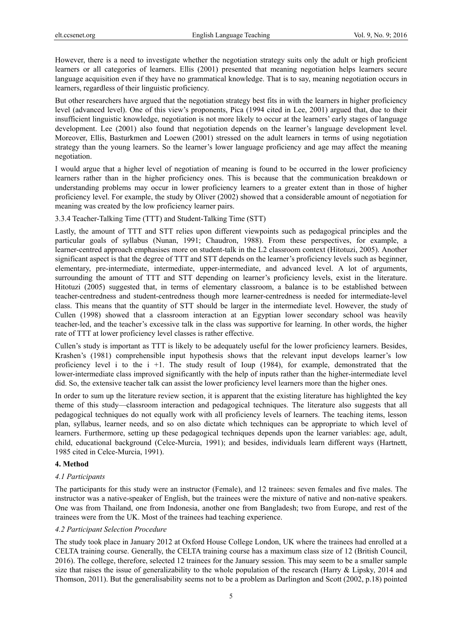However, there is a need to investigate whether the negotiation strategy suits only the adult or high proficient learners or all categories of learners. Ellis (2001) presented that meaning negotiation helps learners secure language acquisition even if they have no grammatical knowledge. That is to say, meaning negotiation occurs in learners, regardless of their linguistic proficiency.

But other researchers have argued that the negotiation strategy best fits in with the learners in higher proficiency level (advanced level). One of this view's proponents, Pica (1994 cited in Lee, 2001) argued that, due to their insufficient linguistic knowledge, negotiation is not more likely to occur at the learners' early stages of language development. Lee (2001) also found that negotiation depends on the learner's language development level. Moreover, Ellis, Basturkmen and Loewen (2001) stressed on the adult learners in terms of using negotiation strategy than the young learners. So the learner's lower language proficiency and age may affect the meaning negotiation.

I would argue that a higher level of negotiation of meaning is found to be occurred in the lower proficiency learners rather than in the higher proficiency ones. This is because that the communication breakdown or understanding problems may occur in lower proficiency learners to a greater extent than in those of higher proficiency level. For example, the study by Oliver (2002) showed that a considerable amount of negotiation for meaning was created by the low proficiency learner pairs.

## 3.3.4 Teacher-Talking Time (TTT) and Student-Talking Time (STT)

Lastly, the amount of TTT and STT relies upon different viewpoints such as pedagogical principles and the particular goals of syllabus (Nunan, 1991; Chaudron, 1988). From these perspectives, for example, a learner-centred approach emphasises more on student-talk in the L2 classroom context (Hitotuzi, 2005). Another significant aspect is that the degree of TTT and STT depends on the learner's proficiency levels such as beginner, elementary, pre-intermediate, intermediate, upper-intermediate, and advanced level. A lot of arguments, surrounding the amount of TTT and STT depending on learner's proficiency levels, exist in the literature. Hitotuzi (2005) suggested that, in terms of elementary classroom, a balance is to be established between teacher-centredness and student-centredness though more learner-centredness is needed for intermediate-level class. This means that the quantity of STT should be larger in the intermediate level. However, the study of Cullen (1998) showed that a classroom interaction at an Egyptian lower secondary school was heavily teacher-led, and the teacher's excessive talk in the class was supportive for learning. In other words, the higher rate of TTT at lower proficiency level classes is rather effective.

Cullen's study is important as TTT is likely to be adequately useful for the lower proficiency learners. Besides, Krashen's (1981) comprehensible input hypothesis shows that the relevant input develops learner's low proficiency level i to the i +1. The study result of Ioup (1984), for example, demonstrated that the lower-intermediate class improved significantly with the help of inputs rather than the higher-intermediate level did. So, the extensive teacher talk can assist the lower proficiency level learners more than the higher ones.

In order to sum up the literature review section, it is apparent that the existing literature has highlighted the key theme of this study—classroom interaction and pedagogical techniques. The literature also suggests that all pedagogical techniques do not equally work with all proficiency levels of learners. The teaching items, lesson plan, syllabus, learner needs, and so on also dictate which techniques can be appropriate to which level of learners. Furthermore, setting up these pedagogical techniques depends upon the learner variables: age, adult, child, educational background (Celce-Murcia, 1991); and besides, individuals learn different ways (Hartnett, 1985 cited in Celce-Murcia, 1991).

## **4. Method**

#### *4.1 Participants*

The participants for this study were an instructor (Female), and 12 trainees: seven females and five males. The instructor was a native-speaker of English, but the trainees were the mixture of native and non-native speakers. One was from Thailand, one from Indonesia, another one from Bangladesh; two from Europe, and rest of the trainees were from the UK. Most of the trainees had teaching experience.

#### *4.2 Participant Selection Procedure*

The study took place in January 2012 at Oxford House College London, UK where the trainees had enrolled at a CELTA training course. Generally, the CELTA training course has a maximum class size of 12 (British Council, 2016). The college, therefore, selected 12 trainees for the January session. This may seem to be a smaller sample size that raises the issue of generalizability to the whole population of the research (Harry & Lipsky, 2014 and Thomson, 2011). But the generalisability seems not to be a problem as Darlington and Scott (2002, p.18) pointed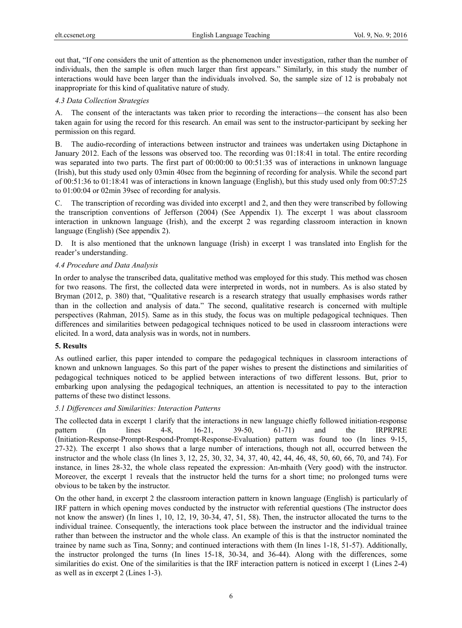out that, "If one considers the unit of attention as the phenomenon under investigation, rather than the number of individuals, then the sample is often much larger than first appears." Similarly, in this study the number of interactions would have been larger than the individuals involved. So, the sample size of 12 is probabaly not inappropriate for this kind of qualitative nature of study.

## *4.3 Data Collection Strategies*

A. The consent of the interactants was taken prior to recording the interactions—the consent has also been taken again for using the record for this research. An email was sent to the instructor-participant by seeking her permission on this regard.

B. The audio-recording of interactions between instructor and trainees was undertaken using Dictaphone in January 2012. Each of the lessons was observed too. The recording was 01:18:41 in total. The entire recording was separated into two parts. The first part of 00:00:00 to 00:51:35 was of interactions in unknown language (Irish), but this study used only 03min 40sec from the beginning of recording for analysis. While the second part of 00:51:36 to 01:18:41 was of interactions in known language (English), but this study used only from 00:57:25 to 01:00:04 or 02min 39sec of recording for analysis.

C. The transcription of recording was divided into excerpt1 and 2, and then they were transcribed by following the transcription conventions of Jefferson (2004) (See Appendix 1). The excerpt 1 was about classroom interaction in unknown language (Irish), and the excerpt 2 was regarding classroom interaction in known language (English) (See appendix 2).

D. It is also mentioned that the unknown language (Irish) in excerpt 1 was translated into English for the reader's understanding.

## *4.4 Procedure and Data Analysis*

In order to analyse the transcribed data, qualitative method was employed for this study. This method was chosen for two reasons. The first, the collected data were interpreted in words, not in numbers. As is also stated by Bryman (2012, p. 380) that, "Qualitative research is a research strategy that usually emphasises words rather than in the collection and analysis of data." The second, qualitative research is concerned with multiple perspectives (Rahman, 2015). Same as in this study, the focus was on multiple pedagogical techniques. Then differences and similarities between pedagogical techniques noticed to be used in classroom interactions were elicited. In a word, data analysis was in words, not in numbers.

## **5. Results**

As outlined earlier, this paper intended to compare the pedagogical techniques in classroom interactions of known and unknown languages. So this part of the paper wishes to present the distinctions and similarities of pedagogical techniques noticed to be applied between interactions of two different lessons. But, prior to embarking upon analysing the pedagogical techniques, an attention is necessitated to pay to the interaction patterns of these two distinct lessons.

## *5.1 Differences and Similarities: Interaction Patterns*

The collected data in excerpt 1 clarify that the interactions in new language chiefly followed initiation-response pattern (In lines 4-8, 16-21, 39-50, 61-71) and the IRPRPRE (Initiation-Response-Prompt-Respond-Prompt-Response-Evaluation) pattern was found too (In lines 9-15, 27-32). The excerpt 1 also shows that a large number of interactions, though not all, occurred between the instructor and the whole class (In lines 3, 12, 25, 30, 32, 34, 37, 40, 42, 44, 46, 48, 50, 60, 66, 70, and 74). For instance, in lines 28-32, the whole class repeated the expression: An-mhaith (Very good) with the instructor. Moreover, the excerpt 1 reveals that the instructor held the turns for a short time; no prolonged turns were obvious to be taken by the instructor.

On the other hand, in excerpt 2 the classroom interaction pattern in known language (English) is particularly of IRF pattern in which opening moves conducted by the instructor with referential questions (The instructor does not know the answer) (In lines 1, 10, 12, 19, 30-34, 47, 51, 58). Then, the instructor allocated the turns to the individual trainee. Consequently, the interactions took place between the instructor and the individual trainee rather than between the instructor and the whole class. An example of this is that the instructor nominated the trainee by name such as Tina, Sonny; and continued interactions with them (In lines 1-18, 51-57). Additionally, the instructor prolonged the turns (In lines 15-18, 30-34, and 36-44). Along with the differences, some similarities do exist. One of the similarities is that the IRF interaction pattern is noticed in excerpt 1 (Lines 2-4) as well as in excerpt 2 (Lines 1-3).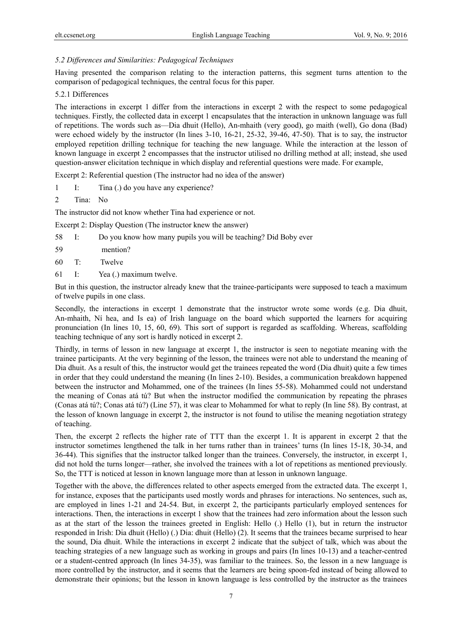## *5.2 Differences and Similarities: Pedagogical Techniques*

Having presented the comparison relating to the interaction patterns, this segment turns attention to the comparison of pedagogical techniques, the central focus for this paper.

## 5.2.1 Differences

The interactions in excerpt 1 differ from the interactions in excerpt 2 with the respect to some pedagogical techniques. Firstly, the collected data in excerpt 1 encapsulates that the interaction in unknown language was full of repetitions. The words such as—Dia dhuit (Hello), An-mhaith (very good), go maith (well), Go dona (Bad) were echoed widely by the instructor (In lines 3-10, 16-21, 25-32, 39-46, 47-50). That is to say, the instructor employed repetition drilling technique for teaching the new language. While the interaction at the lesson of known language in excerpt 2 encompasses that the instructor utilised no drilling method at all; instead, she used question-answer elicitation technique in which display and referential questions were made. For example,

Excerpt 2: Referential question (The instructor had no idea of the answer)

- 1 I: Tina (.) do you have any experience?
- 2 Tina: No

The instructor did not know whether Tina had experience or not.

Excerpt 2: Display Question (The instructor knew the answer)

- 58 I: Do you know how many pupils you will be teaching? Did Boby ever
- 59 mention?
- 60 T: Twelve
- 61 I: Yea (.) maximum twelve.

But in this question, the instructor already knew that the trainee-participants were supposed to teach a maximum of twelve pupils in one class.

Secondly, the interactions in excerpt 1 demonstrate that the instructor wrote some words (e.g. Dia dhuit, An-mhaith, Ní hea, and Is ea) of Irish language on the board which supported the learners for acquiring pronunciation (In lines 10, 15, 60, 69). This sort of support is regarded as scaffolding. Whereas, scaffolding teaching technique of any sort is hardly noticed in excerpt 2.

Thirdly, in terms of lesson in new language at excerpt 1, the instructor is seen to negotiate meaning with the trainee participants. At the very beginning of the lesson, the trainees were not able to understand the meaning of Dia dhuit. As a result of this, the instructor would get the trainees repeated the word (Dia dhuit) quite a few times in order that they could understand the meaning (In lines 2-10). Besides, a communication breakdown happened between the instructor and Mohammed, one of the trainees (In lines 55-58). Mohammed could not understand the meaning of Conas atá tú? But when the instructor modified the communication by repeating the phrases (Conas atá tú?; Conas atá tú?) (Line 57), it was clear to Mohammed for what to reply (In line 58). By contrast, at the lesson of known language in excerpt 2, the instructor is not found to utilise the meaning negotiation strategy of teaching.

Then, the excerpt 2 reflects the higher rate of TTT than the excerpt 1. It is apparent in excerpt 2 that the instructor sometimes lengthened the talk in her turns rather than in trainees' turns (In lines 15-18, 30-34, and 36-44). This signifies that the instructor talked longer than the trainees. Conversely, the instructor, in excerpt 1, did not hold the turns longer—rather, she involved the trainees with a lot of repetitions as mentioned previously. So, the TTT is noticed at lesson in known language more than at lesson in unknown language.

Together with the above, the differences related to other aspects emerged from the extracted data. The excerpt 1, for instance, exposes that the participants used mostly words and phrases for interactions. No sentences, such as, are employed in lines 1-21 and 24-54. But, in excerpt 2, the participants particularly employed sentences for interactions. Then, the interactions in excerpt 1 show that the trainees had zero information about the lesson such as at the start of the lesson the trainees greeted in English: Hello (.) Hello (1), but in return the instructor responded in Irish: Dia dhuit (Hello) (.) Dia: dhuit (Hello) (2). It seems that the trainees became surprised to hear the sound, Dia dhuit. While the interactions in excerpt 2 indicate that the subject of talk, which was about the teaching strategies of a new language such as working in groups and pairs (In lines 10-13) and a teacher-centred or a student-centred approach (In lines 34-35), was familiar to the trainees. So, the lesson in a new language is more controlled by the instructor, and it seems that the learners are being spoon-fed instead of being allowed to demonstrate their opinions; but the lesson in known language is less controlled by the instructor as the trainees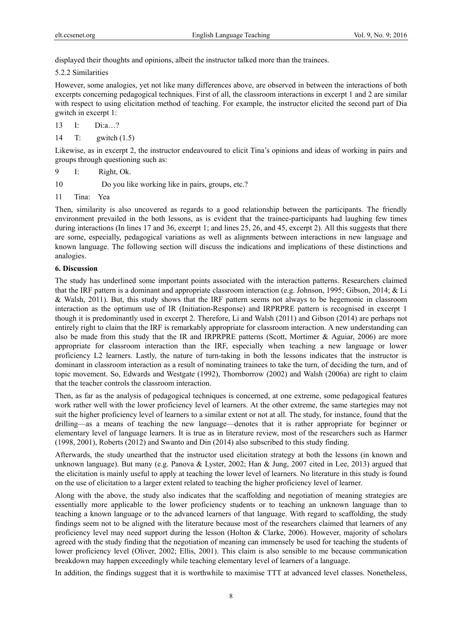displayed their thoughts and opinions, albeit the instructor talked more than the trainees.

5.2.2 Similarities

However, some analogies, yet not like many differences above, are observed in between the interactions of both excerpts concerning pedagogical techniques. First of all, the classroom interactions in excerpt 1 and 2 are similar with respect to using elicitation method of teaching. For example, the instructor elicited the second part of Dia gwitch in excerpt 1:

13 I: Di:a…?

14 T: gwitch (1.5)

Likewise, as in excerpt 2, the instructor endeavoured to elicit Tina's opinions and ideas of working in pairs and groups through questioning such as:

9 I: Right, Ok.

10 Do you like working like in pairs, groups, etc.?

11 Tina: Yea

Then, similarity is also uncovered as regards to a good relationship between the participants. The friendly environment prevailed in the both lessons, as is evident that the trainee-participants had laughing few times during interactions (In lines 17 and 36, excerpt 1; and lines 25, 26, and 45, excerpt 2). All this suggests that there are some, especially, pedagogical variations as well as alignments between interactions in new language and known language. The following section will discuss the indications and implications of these distinctions and analogies.

#### **6. Discussion**

The study has underlined some important points associated with the interaction patterns. Researchers claimed that the IRF pattern is a dominant and appropriate classroom interaction (e.g. Johnson, 1995; Gibson, 2014; & Li & Walsh, 2011). But, this study shows that the IRF pattern seems not always to be hegemonic in classroom interaction as the optimum use of IR (Initiation-Response) and IRPRPRE pattern is recognised in excerpt 1 though it is predominantly used in excerpt 2. Therefore, Li and Walsh (2011) and Gibson (2014) are perhaps not entirely right to claim that the IRF is remarkably appropriate for classroom interaction. A new understanding can also be made from this study that the IR and IRPRPRE patterns (Scott, Mortimer & Aguiar, 2006) are more appropriate for classroom interaction than the IRF, especially when teaching a new language or lower proficiency L2 learners. Lastly, the nature of turn-taking in both the lessons indicates that the instructor is dominant in classroom interaction as a result of nominating trainees to take the turn, of deciding the turn, and of topic movement. So, Edwards and Westgate (1992), Thornborrow (2002) and Walsh (2006a) are right to claim that the teacher controls the classroom interaction.

Then, as far as the analysis of pedagogical techniques is concerned, at one extreme, some pedagogical features work rather well with the lower proficiency level of learners. At the other extreme, the same startegies may not suit the higher proficiency level of learners to a similar extent or not at all. The study, for instance, found that the drilling—as a means of teaching the new language—denotes that it is rather appropriate for beginner or elementary level of language learners. It is true as in literature review, most of the researchers such as Harmer (1998, 2001), Roberts (2012) and Swanto and Din (2014) also subscribed to this study finding.

Afterwards, the study unearthed that the instructor used elicitation strategy at both the lessons (in known and unknown language). But many (e.g. Panova & Lyster, 2002; Han & Jung, 2007 cited in Lee, 2013) argued that the elicitation is mainly useful to apply at teaching the lower level of learners. No literature in this study is found on the use of elicitation to a larger extent related to teaching the higher proficiency level of learner.

Along with the above, the study also indicates that the scaffolding and negotiation of meaning strategies are essentially more applicable to the lower proficiency students or to teaching an unknown language than to teaching a known language or to the advanced learners of that language. With regard to scaffolding, the study findings seem not to be aligned with the literature because most of the researchers claimed that learners of any proficiency level may need support during the lesson (Holton & Clarke, 2006). However, majority of scholars agreed with the study finding that the negotiation of meaning can immensely be used for teaching the students of lower proficiency level (Oliver, 2002; Ellis, 2001). This claim is also sensible to me because communication breakdown may happen exceedingly while teaching elementary level of learners of a language.

In addition, the findings suggest that it is worthwhile to maximise TTT at advanced level classes. Nonetheless,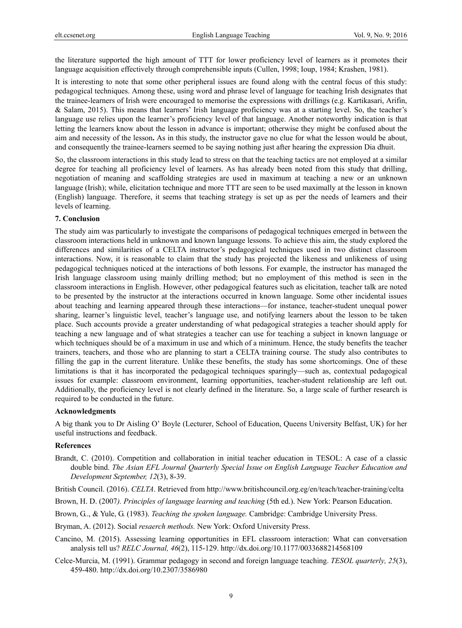the literature supported the high amount of TTT for lower proficiency level of learners as it promotes their language acquisition effectively through comprehensible inputs (Cullen, 1998; Ioup, 1984; Krashen, 1981).

It is interesting to note that some other peripheral issues are found along with the central focus of this study: pedagogical techniques. Among these, using word and phrase level of language for teaching Irish designates that the trainee-learners of Irish were encouraged to memorise the expressions with drillings (e.g. Kartikasari, Arifin, & Salam, 2015). This means that learners' Irish language proficiency was at a starting level. So, the teacher's language use relies upon the learner's proficiency level of that language. Another noteworthy indication is that letting the learners know about the lesson in advance is important; otherwise they might be confused about the aim and necessity of the lesson**.** As in this study, the instructor gave no clue for what the lesson would be about, and consequently the trainee-learners seemed to be saying nothing just after hearing the expression Dia dhuit.

So, the classroom interactions in this study lead to stress on that the teaching tactics are not employed at a similar degree for teaching all proficiency level of learners. As has already been noted from this study that drilling, negotiation of meaning and scaffolding strategies are used in maximum at teaching a new or an unknown language (Irish); while, elicitation technique and more TTT are seen to be used maximally at the lesson in known (English) language. Therefore, it seems that teaching strategy is set up as per the needs of learners and their levels of learning.

#### **7. Conclusion**

The study aim was particularly to investigate the comparisons of pedagogical techniques emerged in between the classroom interactions held in unknown and known language lessons. To achieve this aim, the study explored the differences and similarities of a CELTA instructor's pedagogical techniques used in two distinct classroom interactions. Now, it is reasonable to claim that the study has projected the likeness and unlikeness of using pedagogical techniques noticed at the interactions of both lessons. For example, the instructor has managed the Irish language classroom using mainly drilling method; but no employment of this method is seen in the classroom interactions in English. However, other pedagogical features such as elicitation, teacher talk are noted to be presented by the instructor at the interactions occurred in known language. Some other incidental issues about teaching and learning appeared through these interactions—for instance, teacher-student unequal power sharing, learner's linguistic level, teacher's language use, and notifying learners about the lesson to be taken place. Such accounts provide a greater understanding of what pedagogical strategies a teacher should apply for teaching a new language and of what strategies a teacher can use for teaching a subject in known language or which techniques should be of a maximum in use and which of a minimum. Hence, the study benefits the teacher trainers, teachers, and those who are planning to start a CELTA training course. The study also contributes to filling the gap in the current literature. Unlike these benefits, the study has some shortcomings. One of these limitations is that it has incorporated the pedagogical techniques sparingly—such as, contextual pedagogical issues for example: classroom environment, learning opportunities, teacher-student relationship are left out. Additionally, the proficiency level is not clearly defined in the literature. So, a large scale of further research is required to be conducted in the future.

## **Acknowledgments**

A big thank you to Dr Aisling O' Boyle (Lecturer, School of Education, Queens University Belfast, UK) for her useful instructions and feedback.

## **References**

- Brandt, C. (2010). Competition and collaboration in initial teacher education in TESOL: A case of a classic double bind. *The Asian EFL Journal Quarterly Special Issue on English Language Teacher Education and Development September, 12*(3), 8-39.
- British Council. (2016). *CELTA*. Retrieved from http://www.britishcouncil.org.eg/en/teach/teacher-training/celta
- Brown, H. D. (2007*). Principles of language learning and teaching* (5th ed.). New York: Pearson Education.
- Brown, G.., & Yule, G. (1983). *Teaching the spoken language.* Cambridge: Cambridge University Press.
- Bryman, A. (2012). Social *resaerch methods.* New York: Oxford University Press.
- Cancino, M. (2015). Assessing learning opportunities in EFL classroom interaction: What can conversation analysis tell us? *RELC Journal, 46*(2), 115-129. http://dx.doi.org/10.1177/0033688214568109
- Celce-Murcia, M. (1991). Grammar pedagogy in second and foreign language teaching. *TESOL quarterly, 25*(3), 459-480. http://dx.doi.org/10.2307/3586980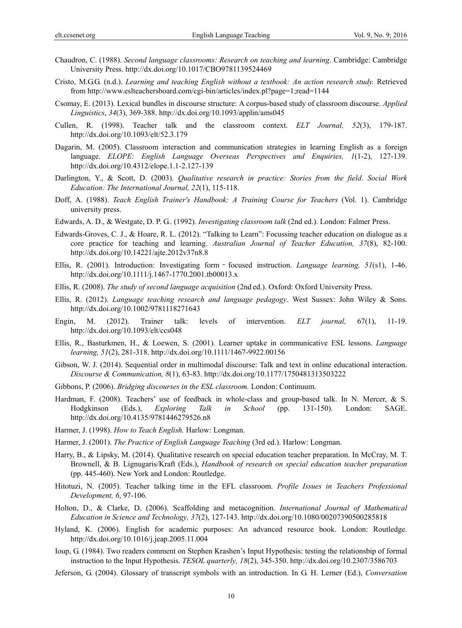- Chaudron, C. (1988). *Second language classrooms: Research on teaching and learning*. Cambridge: Cambridge University Press. http://dx.doi.org/10.1017/CBO9781139524469
- Cristo, M.G.G. (n.d.). *Learning and teaching English without a textbook: An action research study.* Retrieved from http://www.eslteachersboard.com/cgi-bin/articles/index.pl?page=1;read=1144
- Csomay, E. (2013). Lexical bundles in discourse structure: A corpus-based study of classroom discourse. *Applied Linguistics*, *34*(3), 369-388. http://dx.doi.org/10.1093/applin/ams045
- Cullen, R. (1998). Teacher talk and the classroom context. *ELT Journal, 52*(3), 179-187. http://dx.doi.org/10.1093/elt/52.3.179
- Dagarin, M. (2005). Classroom interaction and communication strategies in learning English as a foreign language. *ELOPE: English Language Overseas Perspectives and Enquiries, 1*(1-2), 127-139. http://dx.doi.org/10.4312/elope.1.1-2.127-139
- Darlington, Y., & Scott, D. (2003). *Qualitative research in practice: Stories from the field*. *Social Work Education: The International Journal, 22*(1), 115-118.
- Doff, A. (1988). *Teach English Trainer's Handbook: A Training Course for Teachers* (Vol. 1). Cambridge university press.
- Edwards, A. D., & Westgate, D. P. G.. (1992). *Investigating classroom talk* (2nd ed.). London: Falmer Press.
- Edwards-Groves, C. J., & Hoare, R. L. (2012). "Talking to Learn": Focussing teacher education on dialogue as a core practice for teaching and learning. *Australian Journal of Teacher Education, 37*(8), 82-100. http://dx.doi.org/10.14221/ajte.2012v37n8.8
- Ellis, R. (2001). Introduction: Investigating form‐focused instruction. *Language learning, 51*(s1), 1-46. http://dx.doi.org/10.1111/j.1467-1770.2001.tb00013.x
- Ellis, R. (2008). *The study of second language acquisition* (2nd ed.). Oxford: Oxford University Press.
- Ellis, R. (2012). *Language teaching research and language pedagogy*. West Sussex: John Wiley & Sons. http://dx.doi.org/10.1002/9781118271643
- Engin, M. (2012). Trainer talk: levels of intervention. *ELT journal,* 67(1), 11-19. http://dx.doi.org/10.1093/elt/ccs048
- Ellis, R., Basturkmen, H., & Loewen, S. (2001). Learner uptake in communicative ESL lessons. *Language learning, 51*(2), 281-318. http://dx.doi.org/10.1111/1467-9922.00156
- Gibson, W. J. (2014). Sequential order in multimodal discourse: Talk and text in online educational interaction. *Discourse & Communication, 8*(1), 63-83. http://dx.doi.org/10.1177/1750481313503222
- Gibbons, P. (2006). *Bridging discourses in the ESL classroom.* London: Continuum.
- Hardman, F. (2008). Teachers' use of feedback in whole-class and group-based talk. In N. Mercer, & S. Hodgkinson (Eds.), *Exploring Talk in School* (pp. 131-150). London: SAGE. http://dx.doi.org/10.4135/9781446279526.n8
- Harmer, J. (1998). *How to Teach English.* Harlow: Longman.
- Harmer, J. (2001). *The Practice of English Language Teaching* (3rd ed.). Harlow: Longman.
- Harry, B., & Lipsky, M. (2014). Qualitative research on special education teacher preparation. In McCray, M. T. Brownell, & B. Lignugaris/Kraft (Eds.), *Handbook of research on special education teacher preparation* (pp. 445-460). New York and London: Routledge.
- Hitotuzi, N. (2005). Teacher talking time in the EFL classroom. *Profile Issues in Teachers Professional Development, 6*, 97-106.
- Holton, D., & Clarke, D. (2006). Scaffolding and metacognition. *International Journal of Mathematical Education in Science and Technology, 37*(2), 127-143. http://dx.doi.org/10.1080/00207390500285818
- Hyland, K. (2006). English for academic purposes: An advanced resource book. London: Routledge. http://dx.doi.org/10.1016/j.jeap.2005.11.004
- Ioup, G. (1984). Two readers comment on Stephen Krashen's Input Hypothesis: testing the relationsbip of formal instruction to the Input Hypothesis. *TESOL quarterly, 18*(2), 345-350. http://dx.doi.org/10.2307/3586703
- Jeferson, G. (2004). Glossary of transcript symbols with an introduction. In G. H. Lerner (Ed.), *Conversation*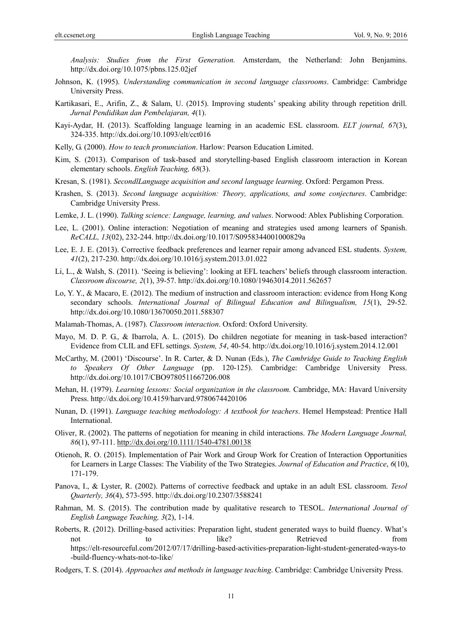*Analysis: Studies from the First Generation.* Amsterdam, the Netherland: John Benjamins. http://dx.doi.org/10.1075/pbns.125.02jef

- Johnson, K. (1995). *Understanding communication in second language classrooms*. Cambridge: Cambridge University Press.
- Kartikasari, E., Arifin, Z., & Salam, U. (2015). Improving students' speaking ability through repetition drill. *Jurnal Pendidikan dan Pembelajaran, 4*(1).
- Kayi-Aydar, H. (2013). Scaffolding language learning in an academic ESL classroom. *ELT journal, 67*(3), 324-335. http://dx.doi.org/10.1093/elt/cct016
- Kelly, G. (2000). *How to teach pronunciation*. Harlow: Pearson Education Limited.
- Kim, S. (2013). Comparison of task-based and storytelling-based English classroom interaction in Korean elementary schools. *English Teaching, 68*(3).
- Kresan, S. (1981). *SecondlLanguage acquisition and second language learning*. Oxford: Pergamon Press.
- Krashen, S. (2013). *Second language acquisition: Theory, applications, and some conjectures*. Cambridge: Cambridge University Press.
- Lemke, J. L. (1990). *Talking science: Language, learning, and values*. Norwood: Ablex Publishing Corporation.
- Lee, L. (2001). Online interaction: Negotiation of meaning and strategies used among learners of Spanish. *ReCALL, 13*(02), 232-244. http://dx.doi.org/10.1017/S0958344001000829a
- Lee, E. J. E. (2013). Corrective feedback preferences and learner repair among advanced ESL students. *System, 41*(2), 217-230. http://dx.doi.org/10.1016/j.system.2013.01.022
- Li, L., & Walsh, S. (2011). 'Seeing is believing': looking at EFL teachers' beliefs through classroom interaction. *Classroom discourse, 2*(1), 39-57. http://dx.doi.org/10.1080/19463014.2011.562657
- Lo, Y. Y., & Macaro, E. (2012). The medium of instruction and classroom interaction: evidence from Hong Kong secondary schools. *International Journal of Bilingual Education and Bilingualism, 15*(1), 29-52. http://dx.doi.org/10.1080/13670050.2011.588307
- Malamah-Thomas, A. (1987). *Classroom interaction*. Oxford: Oxford University.
- Mayo, M. D. P. G., & Ibarrola, A. L. (2015). Do children negotiate for meaning in task-based interaction? Evidence from CLIL and EFL settings. *System, 54*, 40-54. http://dx.doi.org/10.1016/j.system.2014.12.001
- McCarthy, M. (2001) 'Discourse'. In R. Carter, & D. Nunan (Eds.), *The Cambridge Guide to Teaching English to Speakers Of Other Language* (pp. 120-125). Cambridge: Cambridge University Press. http://dx.doi.org/10.1017/CBO9780511667206.008
- Mehan, H. (1979). *Learning lessons: Social organization in the classroom.* Cambridge, MA: Havard University Press. http://dx.doi.org/10.4159/harvard.9780674420106
- Nunan, D. (1991). *Language teaching methodology: A textbook for teachers*. Hemel Hempstead: Prentice Hall International.
- Oliver, R. (2002). The patterns of negotiation for meaning in child interactions. *The Modern Language Journal, 86*(1), 97-111. http://dx.doi.org/10.1111/1540-4781.00138
- Otienoh, R. O. (2015). Implementation of Pair Work and Group Work for Creation of Interaction Opportunities for Learners in Large Classes: The Viability of the Two Strategies. *Journal of Education and Practice*, *6*(10), 171-179.
- Panova, I., & Lyster, R. (2002). Patterns of corrective feedback and uptake in an adult ESL classroom. *Tesol Quarterly, 36*(4), 573-595. http://dx.doi.org/10.2307/3588241
- Rahman, M. S. (2015). The contribution made by qualitative research to TESOL. *International Journal of English Language Teaching, 3*(2), 1-14.
- Roberts, R. (2012). Drilling-based activities: Preparation light, student generated ways to build fluency. What's not to like? Retrieved from https://elt-resourceful.com/2012/07/17/drilling-based-activities-preparation-light-student-generated-ways-to -build-fluency-whats-not-to-like/
- Rodgers, T. S. (2014). *Approaches and methods in language teaching*. Cambridge: Cambridge University Press.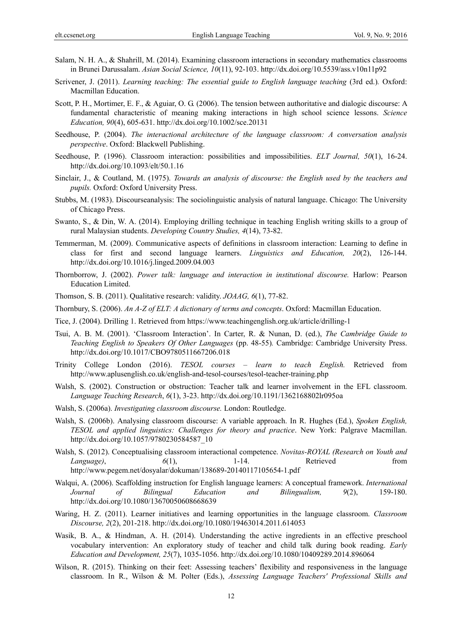- Salam, N. H. A., & Shahrill, M. (2014). Examining classroom interactions in secondary mathematics classrooms in Brunei Darussalam. *Asian Social Science, 10*(11), 92-103. http://dx.doi.org/10.5539/ass.v10n11p92
- Scrivener, J. (2011). *Learning teaching: The essential guide to English language teaching* (3rd ed.)*.* Oxford: Macmillan Education.
- Scott, P. H., Mortimer, E. F., & Aguiar, O. G. (2006). The tension between authoritative and dialogic discourse: A fundamental characteristic of meaning making interactions in high school science lessons. *Science Education, 90*(4), 605-631. http://dx.doi.org/10.1002/sce.20131
- Seedhouse, P. (2004). *The interactional architecture of the language classroom: A conversation analysis perspective*. Oxford: Blackwell Publishing.
- Seedhouse, P. (1996). Classroom interaction: possibilities and impossibilities. *ELT Journal, 50*(1), 16-24. http://dx.doi.org/10.1093/elt/50.1.16
- Sinclair, J., & Coutland, M. (1975). *Towards an analysis of discourse: the English used by the teachers and pupils.* Oxford: Oxford University Press.
- Stubbs, M. (1983). Discourseanalysis: The sociolinguistic analysis of natural language. Chicago: The University of Chicago Press.
- Swanto, S., & Din, W. A. (2014). Employing drilling technique in teaching English writing skills to a group of rural Malaysian students. *Developing Country Studies, 4*(14), 73-82.
- Temmerman, M. (2009). Communicative aspects of definitions in classroom interaction: Learning to define in class for first and second language learners. *Linguistics and Education, 20*(2), 126-144. http://dx.doi.org/10.1016/j.linged.2009.04.003
- Thornborrow, J. (2002). *Power talk: language and interaction in institutional discourse.* Harlow: Pearson Education Limited.
- Thomson, S. B. (2011). Qualitative research: validity. *JOAAG, 6*(1), 77-82.
- Thornbury, S. (2006). *An A-Z of ELT: A dictionary of terms and concepts*. Oxford: Macmillan Education.
- Tice, J. (2004). Drilling 1. Retrieved from https://www.teachingenglish.org.uk/article/drilling-1
- Tsui, A. B. M. (2001). 'Classroom Interaction'. In Carter, R. & Nunan, D. (ed.), *The Cambridge Guide to Teaching English to Speakers Of Other Languages* (pp. 48-55)*.* Cambridge: Cambridge University Press. http://dx.doi.org/10.1017/CBO9780511667206.018
- Trinity College London (2016). *TESOL courses learn to teach English.* Retrieved from http://www.aplusenglish.co.uk/english-and-tesol-courses/tesol-teacher-training.php
- Walsh, S. (2002). Construction or obstruction: Teacher talk and learner involvement in the EFL classroom. *Language Teaching Research*, *6*(1), 3-23. http://dx.doi.org/10.1191/1362168802lr095oa
- Walsh, S. (2006a). *Investigating classroom discourse.* London: Routledge.
- Walsh, S. (2006b). Analysing classroom discourse: A variable approach. In R. Hughes (Ed.), *Spoken English, TESOL and applied linguistics: Challenges for theory and practice*. New York: Palgrave Macmillan. http://dx.doi.org/10.1057/9780230584587\_10
- Walsh, S. (2012). Conceptualising classroom interactional competence. *Novitas-ROYAL (Research on Youth and Language)*, *6*(1), 1-14. Retrieved from http://www.pegem.net/dosyalar/dokuman/138689-20140117105654-1.pdf
- Walqui, A. (2006). Scaffolding instruction for English language learners: A conceptual framework. *International Journal of Bilingual Education and Bilingualism, 9*(2), 159-180. http://dx.doi.org/10.1080/13670050608668639
- Waring, H. Z. (2011). Learner initiatives and learning opportunities in the language classroom. *Classroom Discourse, 2*(2), 201-218. http://dx.doi.org/10.1080/19463014.2011.614053
- Wasik, B. A., & Hindman, A. H. (2014). Understanding the active ingredients in an effective preschool vocabulary intervention: An exploratory study of teacher and child talk during book reading. *Early Education and Development, 25*(7), 1035-1056. http://dx.doi.org/10.1080/10409289.2014.896064
- Wilson, R. (2015). Thinking on their feet: Assessing teachers' flexibility and responsiveness in the language classroom. In R., Wilson & M. Polter (Eds.), *Assessing Language Teachers' Professional Skills and*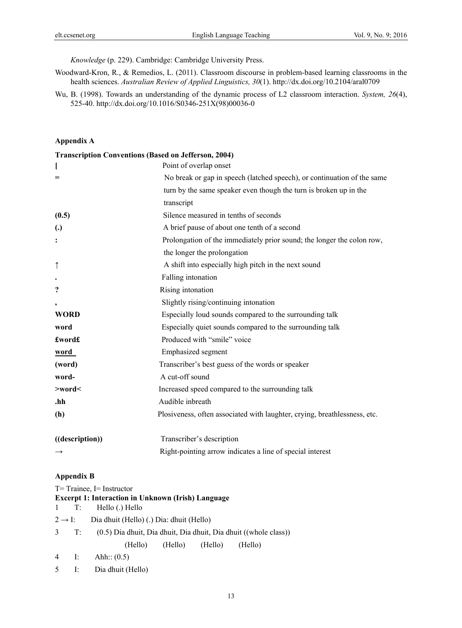*Knowledge* (p. 229). Cambridge: Cambridge University Press.

- Woodward-Kron, R., & Remedios, L. (2011). Classroom discourse in problem-based learning classrooms in the health sciences. *Australian Review of Applied Linguistics, 30*(1). http://dx.doi.org/10.2104/aral0709
- Wu, B. (1998). Towards an understanding of the dynamic process of L2 classroom interaction. *System, 26*(4), 525-40. http://dx.doi.org/10.1016/S0346-251X(98)00036-0

## **Appendix A**

| <b>Transcription Conventions (Based on Jefferson, 2004)</b> |                                                                           |  |  |  |
|-------------------------------------------------------------|---------------------------------------------------------------------------|--|--|--|
| $\mathbf{I}$                                                | Point of overlap onset                                                    |  |  |  |
|                                                             | No break or gap in speech (latched speech), or continuation of the same   |  |  |  |
|                                                             | turn by the same speaker even though the turn is broken up in the         |  |  |  |
|                                                             | transcript                                                                |  |  |  |
| (0.5)                                                       | Silence measured in tenths of seconds                                     |  |  |  |
| (.)                                                         | A brief pause of about one tenth of a second                              |  |  |  |
| $\ddot{\cdot}$                                              | Prolongation of the immediately prior sound; the longer the colon row,    |  |  |  |
|                                                             | the longer the prolongation                                               |  |  |  |
| ↑                                                           | A shift into especially high pitch in the next sound                      |  |  |  |
| $\bullet$                                                   | Falling intonation                                                        |  |  |  |
| $\ddot{?}$                                                  | Rising intonation                                                         |  |  |  |
| ,                                                           | Slightly rising/continuing intonation                                     |  |  |  |
| <b>WORD</b>                                                 | Especially loud sounds compared to the surrounding talk                   |  |  |  |
| word                                                        | Especially quiet sounds compared to the surrounding talk                  |  |  |  |
| £word£                                                      | Produced with "smile" voice                                               |  |  |  |
| word                                                        | Emphasized segment                                                        |  |  |  |
| (word)                                                      | Transcriber's best guess of the words or speaker                          |  |  |  |
| word-                                                       | A cut-off sound                                                           |  |  |  |
| >word<                                                      | Increased speed compared to the surrounding talk                          |  |  |  |
| .hh                                                         | Audible inbreath                                                          |  |  |  |
| (h)                                                         | Plosiveness, often associated with laughter, crying, breathlessness, etc. |  |  |  |
| ((description))                                             | Transcriber's description                                                 |  |  |  |
|                                                             | Right-pointing arrow indicates a line of special interest                 |  |  |  |

## **Appendix B**

T= Trainee, I= Instructor **Excerpt 1: Interaction in Unknown (Irish) Language** 1 T: Hello (.) Hello 2 **→** I: Dia dhuit (Hello) (.) Dia: dhuit (Hello) 3 T: (0.5) Dia dhuit, Dia dhuit, Dia dhuit, Dia dhuit ((whole class)) (Hello) (Hello) (Hello) (Hello) 4 I: Ahh:: (0.5)

5 I: Dia dhuit (Hello)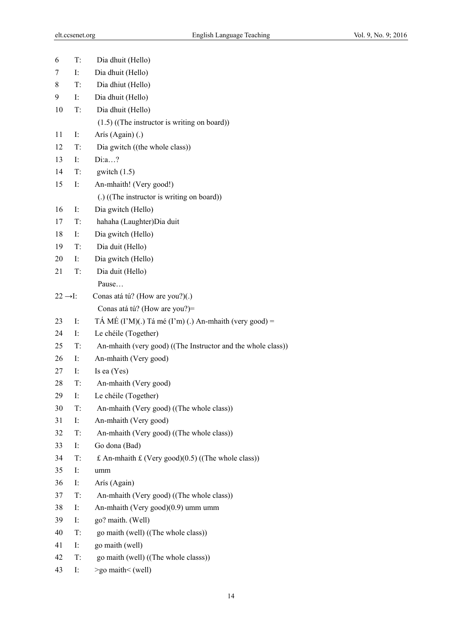| 6                    | T: | Dia dhuit (Hello)                                            |
|----------------------|----|--------------------------------------------------------------|
| 7                    | Ι: | Dia dhuit (Hello)                                            |
| 8                    | T: | Dia dhiut (Hello)                                            |
| 9                    | I: | Dia dhuit (Hello)                                            |
| 10                   | T: | Dia dhuit (Hello)                                            |
|                      |    | $(1.5)$ ((The instructor is writing on board))               |
| 11                   | Ι: | Arís (Again) (.)                                             |
| 12                   | T: | Dia gwitch ((the whole class))                               |
| 13                   | I: | $D$ i:a?                                                     |
| 14                   | T: | gwitch $(1.5)$                                               |
| 15                   | Ι: | An-mhaith! (Very good!)                                      |
|                      |    | (.) ((The instructor is writing on board))                   |
| 16                   | Ι: | Dia gwitch (Hello)                                           |
| 17                   | T: | hahaha (Laughter)Dia duit                                    |
| 18                   | I: | Dia gwitch (Hello)                                           |
| 19                   | T: | Dia duit (Hello)                                             |
| 20                   | I: | Dia gwitch (Hello)                                           |
| 21                   | T: | Dia duit (Hello)                                             |
|                      |    | Pause                                                        |
| $22 \rightarrow I$ : |    | Conas atá tú? (How are you?)(.)                              |
|                      |    | Conas atá tú? (How are you?)=                                |
| 23                   | Е. | TÁ MÉ $(I'M)(.)$ Tá mé $(I'm)(.)$ An-mhaith (very good) =    |
| 24                   | Ι: | Le chéile (Together)                                         |
| 25                   | T: | An-mhaith (very good) ((The Instructor and the whole class)) |
| 26                   | Ι: | An-mhaith (Very good)                                        |
| 27                   | Е. | Is ea (Yes)                                                  |
| 28                   | T: | An-mhaith (Very good)                                        |
| 29                   | Е. | Le chéile (Together)                                         |
| 30                   | T: | An-mhaith (Very good) ((The whole class))                    |
| 31                   | I: | An-mhaith (Very good)                                        |
| 32                   | T: | An-mhaith (Very good) ((The whole class))                    |
| 33                   | I: | Go dona (Bad)                                                |
| 34                   | T: | £ An-mhaith £ (Very good) $(0.5)$ ((The whole class))        |
| 35                   | I: | umm                                                          |
| 36                   | Ι: | Arís (Again)                                                 |
| 37                   | T: | An-mhaith (Very good) ((The whole class))                    |
| 38                   | I: | An-mhaith (Very good)(0.9) umm umm                           |
| 39                   | I: | go? maith. (Well)                                            |
| 40                   | T: | go maith (well) ((The whole class))                          |
| 41                   | I: | go maith (well)                                              |
| 42                   | T: | go maith (well) ((The whole classs))                         |
| 43                   | I: | >go maith< (well)                                            |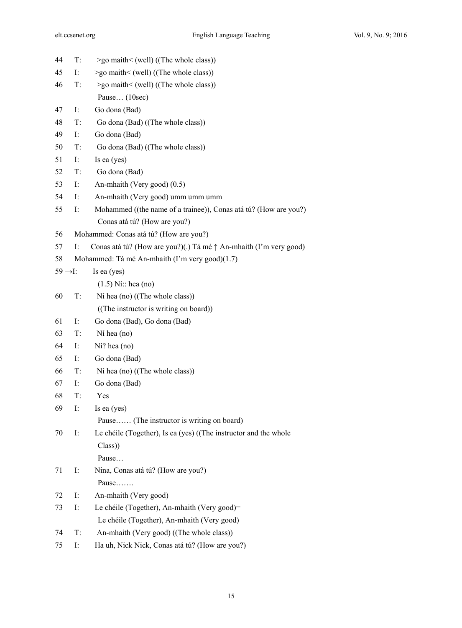| 44 | T:     | >go maith< (well) ((The whole class))                                      |
|----|--------|----------------------------------------------------------------------------|
| 45 | Е.     | >go maith< (well) ((The whole class))                                      |
| 46 | T:     | >go maith< (well) ((The whole class))                                      |
|    |        | Pause $(10sec)$                                                            |
| 47 | I:     | Go dona (Bad)                                                              |
| 48 | T:     | Go dona (Bad) ((The whole class))                                          |
| 49 | I:     | Go dona (Bad)                                                              |
| 50 | T:     | Go dona (Bad) ((The whole class))                                          |
| 51 | Е.     | Is ea (yes)                                                                |
| 52 | T:     | Go dona (Bad)                                                              |
| 53 | I:     | An-mhaith (Very good) (0.5)                                                |
| 54 | I:     | An-mhaith (Very good) umm umm umm                                          |
| 55 | I:     | Mohammed ((the name of a trainee)), Conas atá tú? (How are you?)           |
|    |        | Conas atá tú? (How are you?)                                               |
| 56 |        | Mohammed: Conas atá tú? (How are you?)                                     |
| 57 | Ŀ.     | Conas atá tú? (How are you?)(.) Tá mé $\uparrow$ An-mhaith (I'm very good) |
| 58 |        | Mohammed: Tá mé An-mhaith (I'm very good)(1.7)                             |
|    | 59 →I: | Is ea (yes)                                                                |
|    |        | $(1.5)$ Ní:: hea (no)                                                      |
| 60 | T:     | Ní hea (no) ((The whole class))                                            |
|    |        | ((The instructor is writing on board))                                     |
| 61 | I:     | Go dona (Bad), Go dona (Bad)                                               |
| 63 | T:     | Ní hea (no)                                                                |
| 64 | Ι:     | $Ni?$ hea (no)                                                             |
| 65 | I:     | Go dona (Bad)                                                              |
| 66 | T:     | Ní hea (no) ((The whole class))                                            |
| 67 | I:     | Go dona (Bad)                                                              |
| 68 | T:     | Yes                                                                        |
| 69 | I:     | Is ea (yes)                                                                |
|    |        | Pause (The instructor is writing on board)                                 |
| 70 | I:     | Le chéile (Together), Is ea (yes) ((The instructor and the whole           |
|    |        | Class))                                                                    |
|    |        | Pause                                                                      |
| 71 | Е.     | Nina, Conas atá tú? (How are you?)                                         |
|    |        | Pause                                                                      |
| 72 | I:     | An-mhaith (Very good)                                                      |
| 73 | I:     | Le chéile (Together), An-mhaith (Very good)=                               |
|    |        | Le chéile (Together), An-mhaith (Very good)                                |
| 74 | T:     | An-mhaith (Very good) ((The whole class))                                  |
| 75 | I:     | Ha uh, Nick Nick, Conas atá tú? (How are you?)                             |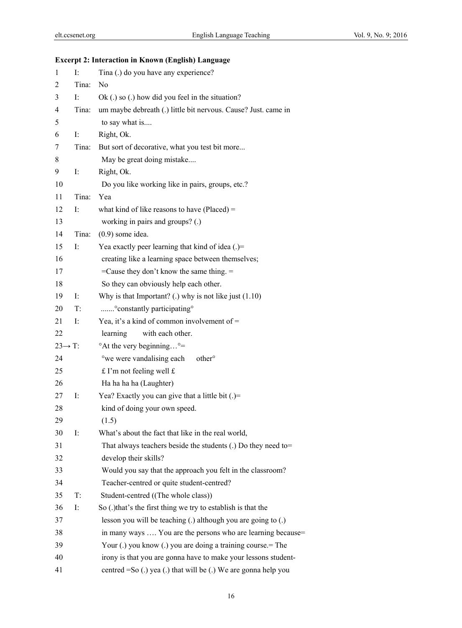|                      |                | Excerpt 2: Interaction in Known (English) Language                |
|----------------------|----------------|-------------------------------------------------------------------|
| $\mathbf{1}$         | I:             | Tina (.) do you have any experience?                              |
| 2                    | Tina:          | No                                                                |
| 3                    | I:             | Ok (.) so (.) how did you feel in the situation?                  |
| 4                    | Tina:          | um maybe debreath (.) little bit nervous. Cause? Just. came in    |
| 5                    |                | to say what is                                                    |
| 6                    | I:             | Right, Ok.                                                        |
| 7                    | Tina:          | But sort of decorative, what you test bit more                    |
| 8                    |                | May be great doing mistake                                        |
| 9                    | I:             | Right, Ok.                                                        |
| 10                   |                | Do you like working like in pairs, groups, etc.?                  |
| 11                   | Tina:          | Yea                                                               |
| 12                   | I:             | what kind of like reasons to have (Placed) $=$                    |
| 13                   |                | working in pairs and groups? (.)                                  |
| 14                   | Tina:          | $(0.9)$ some idea.                                                |
| 15                   | I:             | Yea exactly peer learning that kind of idea $(.)$ =               |
| 16                   |                | creating like a learning space between themselves;                |
| 17                   |                | = Cause they don't know the same thing. $=$                       |
| 18                   |                | So they can obviously help each other.                            |
| 19                   | $\mathbf{I}$ : | Why is that Important? (.) why is not like just $(1.10)$          |
| 20                   | T:             | ° constantly participating°                                       |
| 21                   | I:             | Yea, it's a kind of common involvement of $=$                     |
| 22                   |                | with each other.<br>learning                                      |
| $23 \rightarrow T$ : |                | $\degree$ At the very beginning $\degree$ =                       |
| 24                   |                | <sup>o</sup> we were vandalising each other <sup>o</sup>          |
| 25                   |                | £ I'm not feeling well $f$ .                                      |
| 26                   |                | Ha ha ha (Laughter)                                               |
| 27                   | I:             | Yea? Exactly you can give that a little bit (.)=                  |
| 28                   |                | kind of doing your own speed.                                     |
| 29                   |                | (1.5)                                                             |
| 30                   | I:             | What's about the fact that like in the real world,                |
| 31                   |                | That always teachers beside the students (.) Do they need to=     |
| 32                   |                | develop their skills?                                             |
| 33                   |                | Would you say that the approach you felt in the classroom?        |
| 34                   |                | Teacher-centred or quite student-centred?                         |
| 35                   | T:             | Student-centred ((The whole class))                               |
| 36                   | I:             | So (.) that's the first thing we try to establish is that the     |
| 37                   |                | lesson you will be teaching (.) although you are going to (.)     |
| 38                   |                | in many ways  You are the persons who are learning because=       |
| 39                   |                | Your (.) you know (.) you are doing a training course. $=$ The    |
| 40                   |                | irony is that you are gonna have to make your lessons student-    |
| 41                   |                | centred $=$ So (.) yea (.) that will be (.) We are gonna help you |
|                      |                |                                                                   |

## **Excerpt 2: Interaction in Known (English) Language**